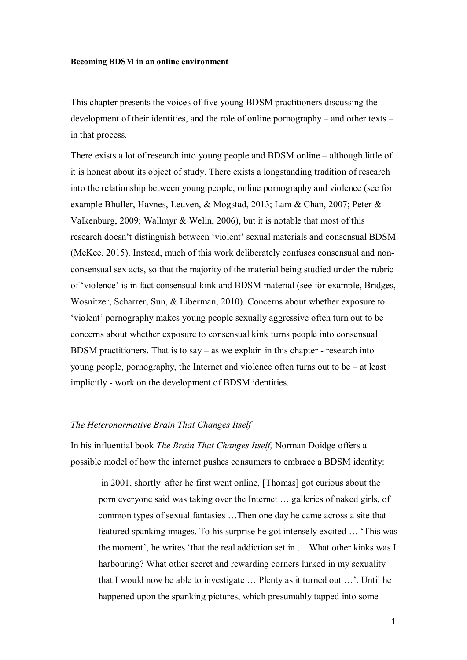#### **Becoming BDSM in an online environment**

This chapter presents the voices of five young BDSM practitioners discussing the development of their identities, and the role of online pornography – and other texts – in that process.

There exists a lot of research into young people and BDSM online – although little of it is honest about its object of study. There exists a longstanding tradition of research into the relationship between young people, online pornography and violence (see for example [Bhuller, Havnes, Leuven, & Mogstad, 2013;](#page-11-0) [Lam & Chan, 2007;](#page-11-1) [Peter &](#page-12-0)  [Valkenburg, 2009;](#page-12-0) [Wallmyr & Welin, 2006\)](#page-12-1), but it is notable that most of this research doesn't distinguish between 'violent' sexual materials and consensual BDSM [\(McKee, 2015\)](#page-12-2). Instead, much of this work deliberately confuses consensual and nonconsensual sex acts, so that the majority of the material being studied under the rubric of 'violence' is in fact consensual kink and BDSM material [\(see for example, Bridges,](#page-11-2)  [Wosnitzer, Scharrer, Sun, & Liberman, 2010\)](#page-11-2). Concerns about whether exposure to 'violent' pornography makes young people sexually aggressive often turn out to be concerns about whether exposure to consensual kink turns people into consensual BDSM practitioners. That is to say – as we explain in this chapter - research into young people, pornography, the Internet and violence often turns out to be – at least implicitly - work on the development of BDSM identities.

#### *The Heteronormative Brain That Changes Itself*

In his influential book *The Brain That Changes Itself,* Norman Doidge offers a possible model of how the internet pushes consumers to embrace a BDSM identity:

in 2001, shortly after he first went online, [Thomas] got curious about the porn everyone said was taking over the Internet … galleries of naked girls, of common types of sexual fantasies …Then one day he came across a site that featured spanking images. To his surprise he got intensely excited … 'This was the moment', he writes 'that the real addiction set in … What other kinks was I harbouring? What other secret and rewarding corners lurked in my sexuality that I would now be able to investigate … Plenty as it turned out …'. Until he happened upon the spanking pictures, which presumably tapped into some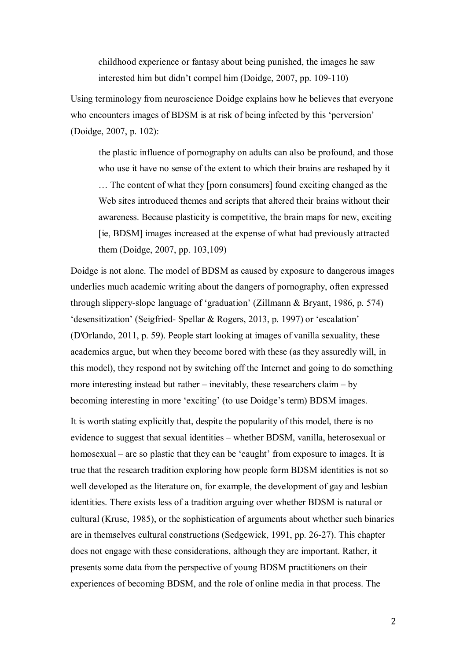childhood experience or fantasy about being punished, the images he saw interested him but didn't compel him [\(Doidge, 2007, pp. 109-110\)](#page-11-3)

Using terminology from neuroscience Doidge explains how he believes that everyone who encounters images of BDSM is at risk of being infected by this 'perversion' [\(Doidge, 2007, p. 102\)](#page-11-3):

the plastic influence of pornography on adults can also be profound, and those who use it have no sense of the extent to which their brains are reshaped by it … The content of what they [porn consumers] found exciting changed as the Web sites introduced themes and scripts that altered their brains without their awareness. Because plasticity is competitive, the brain maps for new, exciting [ie, BDSM] images increased at the expense of what had previously attracted them [\(Doidge, 2007, pp. 103,109\)](#page-11-3)

Doidge is not alone. The model of BDSM as caused by exposure to dangerous images underlies much academic writing about the dangers of pornography, often expressed through slippery-slope language of 'graduation' [\(Zillmann & Bryant, 1986, p. 574\)](#page-12-3) 'desensitization' (Seigfried- [Spellar & Rogers, 2013, p. 1997\)](#page-12-4) or 'escalation' [\(D'Orlando, 2011, p. 59\)](#page-11-4). People start looking at images of vanilla sexuality, these academics argue, but when they become bored with these (as they assuredly will, in this model), they respond not by switching off the Internet and going to do something more interesting instead but rather – inevitably, these researchers claim – by becoming interesting in more 'exciting' (to use Doidge's term) BDSM images.

It is worth stating explicitly that, despite the popularity of this model, there is no evidence to suggest that sexual identities – whether BDSM, vanilla, heterosexual or homosexual – are so plastic that they can be 'caught' from exposure to images. It is true that the research tradition exploring how people form BDSM identities is not so well developed as the literature on, for example, the development of gay and lesbian identities. There exists less of a tradition arguing over whether BDSM is natural or cultural [\(Kruse, 1985\)](#page-11-5), or the sophistication of arguments about whether such binaries are in themselves cultural constructions [\(Sedgewick, 1991, pp. 26-27\)](#page-12-5). This chapter does not engage with these considerations, although they are important. Rather, it presents some data from the perspective of young BDSM practitioners on their experiences of becoming BDSM, and the role of online media in that process. The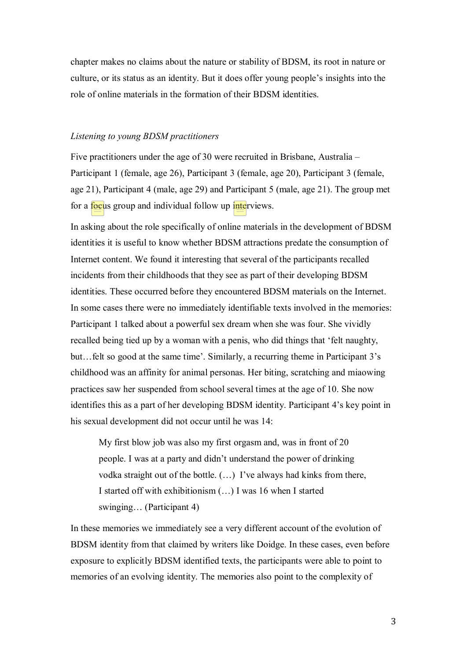chapter makes no claims about the nature or stability of BDSM, its root in nature or culture, or its status as an identity. But it does offer young people's insights into the role of online materials in the formation of their BDSM identities.

#### *Listening to young BDSM practitioners*

Five practitioners under the age of 30 were recruited in Brisbane, Australia – Participant 1 (female, age 26), Participant 3 (female, age 20), Participant 3 (female, age 21), Participant 4 (male, age 29) and Participant 5 (male, age 21). The group met for a **focus** group and individual follow up **interviews**.

In asking about the role specifically of online materials in the development of BDSM identities it is useful to know whether BDSM attractions predate the consumption of Internet content. We found it interesting that several of the participants recalled incidents from their childhoods that they see as part of their developing BDSM identities. These occurred before they encountered BDSM materials on the Internet. In some cases there were no immediately identifiable texts involved in the memories: Participant 1 talked about a powerful sex dream when she was four. She vividly recalled being tied up by a woman with a penis, who did things that 'felt naughty, but…felt so good at the same time'. Similarly, a recurring theme in Participant 3's childhood was an affinity for animal personas. Her biting, scratching and miaowing practices saw her suspended from school several times at the age of 10. She now identifies this as a part of her developing BDSM identity. Participant 4's key point in his sexual development did not occur until he was 14:

My first blow job was also my first orgasm and, was in front of 20 people. I was at a party and didn't understand the power of drinking vodka straight out of the bottle. (…) I've always had kinks from there, I started off with exhibitionism (…) I was 16 when I started swinging… (Participant 4)

In these memories we immediately see a very different account of the evolution of BDSM identity from that claimed by writers like Doidge. In these cases, even before exposure to explicitly BDSM identified texts, the participants were able to point to memories of an evolving identity. The memories also point to the complexity of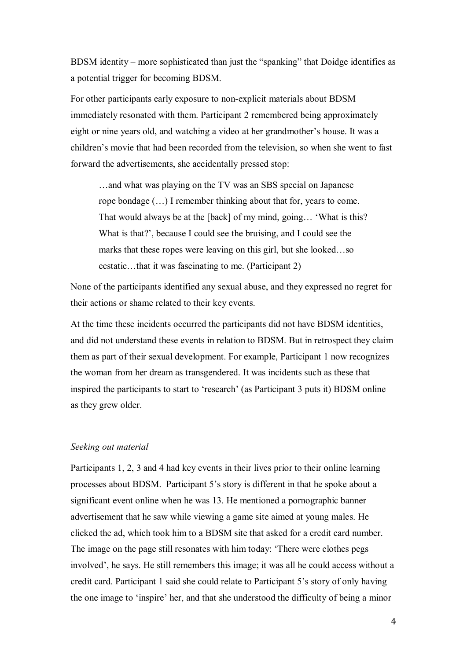BDSM identity – more sophisticated than just the "spanking" that Doidge identifies as a potential trigger for becoming BDSM.

For other participants early exposure to non-explicit materials about BDSM immediately resonated with them. Participant 2 remembered being approximately eight or nine years old, and watching a video at her grandmother's house. It was a children's movie that had been recorded from the television, so when she went to fast forward the advertisements, she accidentally pressed stop:

…and what was playing on the TV was an SBS special on Japanese rope bondage (…) I remember thinking about that for, years to come. That would always be at the [back] of my mind, going… 'What is this? What is that?', because I could see the bruising, and I could see the marks that these ropes were leaving on this girl, but she looked…so ecstatic…that it was fascinating to me. (Participant 2)

None of the participants identified any sexual abuse, and they expressed no regret for their actions or shame related to their key events.

At the time these incidents occurred the participants did not have BDSM identities, and did not understand these events in relation to BDSM. But in retrospect they claim them as part of their sexual development. For example, Participant 1 now recognizes the woman from her dream as transgendered. It was incidents such as these that inspired the participants to start to 'research' (as Participant 3 puts it) BDSM online as they grew older.

# *Seeking out material*

Participants 1, 2, 3 and 4 had key events in their lives prior to their online learning processes about BDSM. Participant 5's story is different in that he spoke about a significant event online when he was 13. He mentioned a pornographic banner advertisement that he saw while viewing a game site aimed at young males. He clicked the ad, which took him to a BDSM site that asked for a credit card number. The image on the page still resonates with him today: 'There were clothes pegs involved', he says. He still remembers this image; it was all he could access without a credit card. Participant 1 said she could relate to Participant 5's story of only having the one image to 'inspire' her, and that she understood the difficulty of being a minor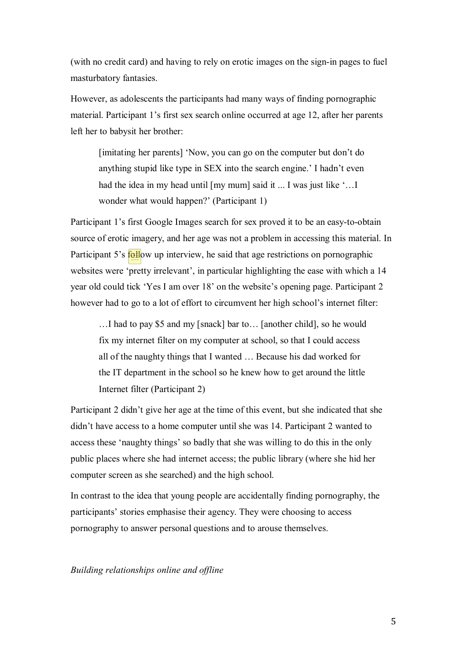(with no credit card) and having to rely on erotic images on the sign-in pages to fuel masturbatory fantasies.

However, as adolescents the participants had many ways of finding pornographic material. Participant 1's first sex search online occurred at age 12, after her parents left her to babysit her brother:

[imitating her parents] 'Now, you can go on the computer but don't do anything stupid like type in SEX into the search engine.' I hadn't even had the idea in my head until [my mum] said it ... I was just like '…I wonder what would happen?' (Participant 1)

Participant 1's first Google Images search for sex proved it to be an easy-to-obtain source of erotic imagery, and her age was not a problem in accessing this material. In Participant 5's follow up interview, he said that age restrictions on pornographic websites were 'pretty irrelevant', in particular highlighting the ease with which a 14 year old could tick 'Yes I am over 18' on the website's opening page. Participant 2 however had to go to a lot of effort to circumvent her high school's internet filter:

…I had to pay \$5 and my [snack] bar to… [another child], so he would fix my internet filter on my computer at school, so that I could access all of the naughty things that I wanted … Because his dad worked for the IT department in the school so he knew how to get around the little Internet filter (Participant 2)

Participant 2 didn't give her age at the time of this event, but she indicated that she didn't have access to a home computer until she was 14. Participant 2 wanted to access these 'naughty things' so badly that she was willing to do this in the only public places where she had internet access; the public library (where she hid her computer screen as she searched) and the high school.

In contrast to the idea that young people are accidentally finding pornography, the participants' stories emphasise their agency. They were choosing to access pornography to answer personal questions and to arouse themselves.

# *Building relationships online and offline*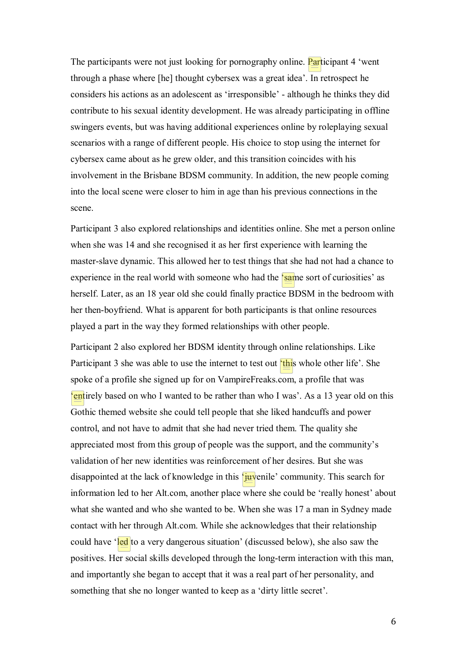The participants were not just looking for pornography online. Participant 4 'went through a phase where [he] thought cybersex was a great idea'. In retrospect he considers his actions as an adolescent as 'irresponsible' - although he thinks they did contribute to his sexual identity development. He was already participating in offline swingers events, but was having additional experiences online by roleplaying sexual scenarios with a range of different people. His choice to stop using the internet for cybersex came about as he grew older, and this transition coincides with his involvement in the Brisbane BDSM community. In addition, the new people coming into the local scene were closer to him in age than his previous connections in the scene.

Participant 3 also explored relationships and identities online. She met a person online when she was 14 and she recognised it as her first experience with learning the master-slave dynamic. This allowed her to test things that she had not had a chance to experience in the real world with someone who had the 'same sort of curiosities' as herself. Later, as an 18 year old she could finally practice BDSM in the bedroom with her then-boyfriend. What is apparent for both participants is that online resources played a part in the way they formed relationships with other people.

Participant 2 also explored her BDSM identity through online relationships. Like Participant 3 she was able to use the internet to test out  $'$ this whole other life'. She spoke of a profile she signed up for on VampireFreaks.com, a profile that was 'entirely based on who I wanted to be rather than who I was'. As a 13 year old on this Gothic themed website she could tell people that she liked handcuffs and power control, and not have to admit that she had never tried them. The quality she appreciated most from this group of people was the support, and the community's validation of her new identities was reinforcement of her desires. But she was disappointed at the lack of knowledge in this 'juvenile' community. This search for information led to her Alt.com, another place where she could be 'really honest' about what she wanted and who she wanted to be. When she was 17 a man in Sydney made contact with her through Alt.com. While she acknowledges that their relationship could have 'led to a very dangerous situation' (discussed below), she also saw the positives. Her social skills developed through the long-term interaction with this man, and importantly she began to accept that it was a real part of her personality, and something that she no longer wanted to keep as a 'dirty little secret'.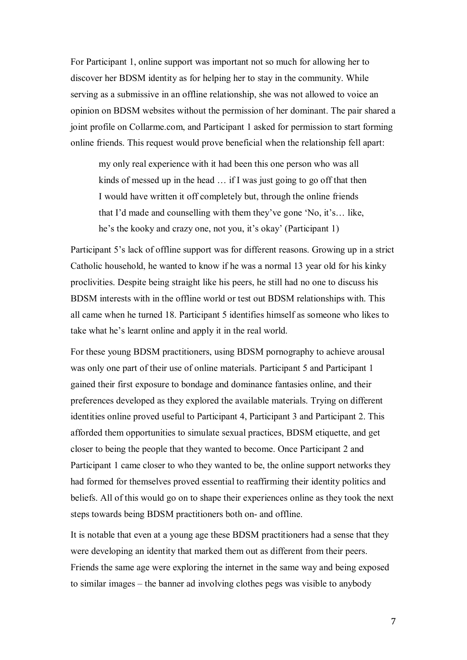For Participant 1, online support was important not so much for allowing her to discover her BDSM identity as for helping her to stay in the community. While serving as a submissive in an offline relationship, she was not allowed to voice an opinion on BDSM websites without the permission of her dominant. The pair shared a joint profile on Collarme.com, and Participant 1 asked for permission to start forming online friends. This request would prove beneficial when the relationship fell apart:

my only real experience with it had been this one person who was all kinds of messed up in the head … if I was just going to go off that then I would have written it off completely but, through the online friends that I'd made and counselling with them they've gone 'No, it's… like, he's the kooky and crazy one, not you, it's okay' (Participant 1)

Participant 5's lack of offline support was for different reasons. Growing up in a strict Catholic household, he wanted to know if he was a normal 13 year old for his kinky proclivities. Despite being straight like his peers, he still had no one to discuss his BDSM interests with in the offline world or test out BDSM relationships with. This all came when he turned 18. Participant 5 identifies himself as someone who likes to take what he's learnt online and apply it in the real world.

For these young BDSM practitioners, using BDSM pornography to achieve arousal was only one part of their use of online materials. Participant 5 and Participant 1 gained their first exposure to bondage and dominance fantasies online, and their preferences developed as they explored the available materials. Trying on different identities online proved useful to Participant 4, Participant 3 and Participant 2. This afforded them opportunities to simulate sexual practices, BDSM etiquette, and get closer to being the people that they wanted to become. Once Participant 2 and Participant 1 came closer to who they wanted to be, the online support networks they had formed for themselves proved essential to reaffirming their identity politics and beliefs. All of this would go on to shape their experiences online as they took the next steps towards being BDSM practitioners both on- and offline.

It is notable that even at a young age these BDSM practitioners had a sense that they were developing an identity that marked them out as different from their peers. Friends the same age were exploring the internet in the same way and being exposed to similar images – the banner ad involving clothes pegs was visible to anybody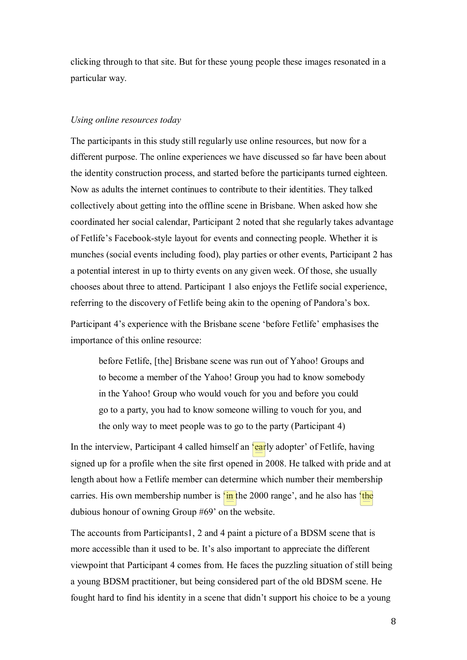clicking through to that site. But for these young people these images resonated in a particular way.

# *Using online resources today*

The participants in this study still regularly use online resources, but now for a different purpose. The online experiences we have discussed so far have been about the identity construction process, and started before the participants turned eighteen. Now as adults the internet continues to contribute to their identities. They talked collectively about getting into the offline scene in Brisbane. When asked how she coordinated her social calendar, Participant 2 noted that she regularly takes advantage of Fetlife's Facebook-style layout for events and connecting people. Whether it is munches (social events including food), play parties or other events, Participant 2 has a potential interest in up to thirty events on any given week. Of those, she usually chooses about three to attend. Participant 1 also enjoys the Fetlife social experience, referring to the discovery of Fetlife being akin to the opening of Pandora's box.

Participant 4's experience with the Brisbane scene 'before Fetlife' emphasises the importance of this online resource:

before Fetlife, [the] Brisbane scene was run out of Yahoo! Groups and to become a member of the Yahoo! Group you had to know somebody in the Yahoo! Group who would vouch for you and before you could go to a party, you had to know someone willing to vouch for you, and the only way to meet people was to go to the party (Participant 4)

In the interview, Participant 4 called himself an 'early adopter' of Fetlife, having signed up for a profile when the site first opened in 2008. He talked with pride and at length about how a Fetlife member can determine which number their membership carries. His own membership number is  $\frac{\text{im}}{\text{th}}$  the 2000 range', and he also has  $\frac{\text{th}}{\text{th}}$ dubious honour of owning Group #69' on the website.

The accounts from Participants1, 2 and 4 paint a picture of a BDSM scene that is more accessible than it used to be. It's also important to appreciate the different viewpoint that Participant 4 comes from. He faces the puzzling situation of still being a young BDSM practitioner, but being considered part of the old BDSM scene. He fought hard to find his identity in a scene that didn't support his choice to be a young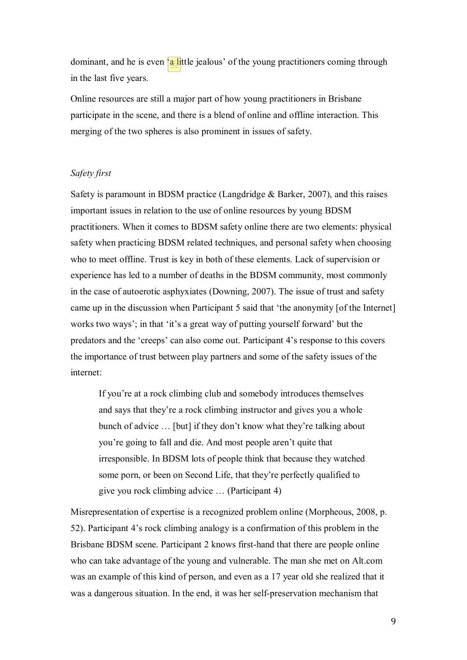dominant, and he is even  $\frac{1}{a}$  little jealous' of the young practitioners coming through in the last five years.

Online resources are still a major part of how young practitioners in Brisbane participate in the scene, and there is a blend of online and offline interaction. This merging of the two spheres is also prominent in issues of safety.

# *Safety first*

Safety is paramount in BDSM practice [\(Langdridge & Barker, 2007\)](#page-12-6), and this raises important issues in relation to the use of online resources by young BDSM practitioners. When it comes to BDSM safety online there are two elements: physical safety when practicing BDSM related techniques, and personal safety when choosing who to meet offline. Trust is key in both of these elements. Lack of supervision or experience has led to a number of deaths in the BDSM community, most commonly in the case of autoerotic asphyxiates [\(Downing, 2007\)](#page-11-6). The issue of trust and safety came up in the discussion when Participant 5 said that 'the anonymity [of the Internet] works two ways'; in that 'it's a great way of putting yourself forward' but the predators and the 'creeps' can also come out. Participant 4's response to this covers the importance of trust between play partners and some of the safety issues of the internet:

If you're at a rock climbing club and somebody introduces themselves and says that they're a rock climbing instructor and gives you a whole bunch of advice … [but] if they don't know what they're talking about you're going to fall and die. And most people aren't quite that irresponsible. In BDSM lots of people think that because they watched some porn, or been on Second Life, that they're perfectly qualified to give you rock climbing advice … (Participant 4)

Misrepresentation of expertise is a recognized problem online [\(Morpheous, 2008, p.](#page-12-7)  [52\)](#page-12-7). Participant 4's rock climbing analogy is a confirmation of this problem in the Brisbane BDSM scene. Participant 2 knows first-hand that there are people online who can take advantage of the young and vulnerable. The man she met on Alt.com was an example of this kind of person, and even as a 17 year old she realized that it was a dangerous situation. In the end, it was her self-preservation mechanism that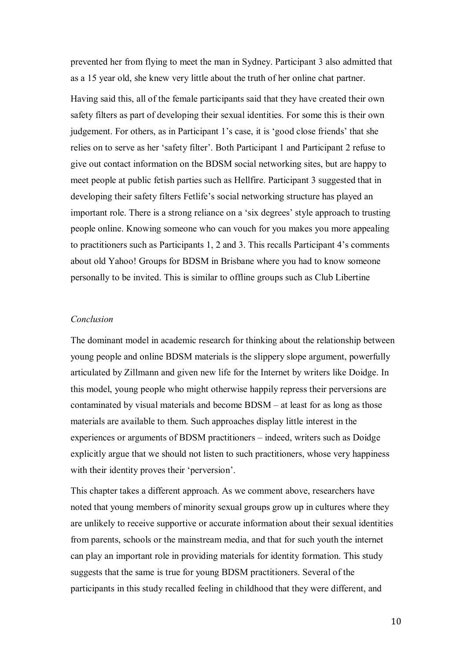prevented her from flying to meet the man in Sydney. Participant 3 also admitted that as a 15 year old, she knew very little about the truth of her online chat partner.

Having said this, all of the female participants said that they have created their own safety filters as part of developing their sexual identities. For some this is their own judgement. For others, as in Participant 1's case, it is 'good close friends' that she relies on to serve as her 'safety filter'. Both Participant 1 and Participant 2 refuse to give out contact information on the BDSM social networking sites, but are happy to meet people at public fetish parties such as Hellfire. Participant 3 suggested that in developing their safety filters Fetlife's social networking structure has played an important role. There is a strong reliance on a 'six degrees' style approach to trusting people online. Knowing someone who can vouch for you makes you more appealing to practitioners such as Participants 1, 2 and 3. This recalls Participant 4's comments about old Yahoo! Groups for BDSM in Brisbane where you had to know someone personally to be invited. This is similar to offline groups such as Club Libertine

# *Conclusion*

The dominant model in academic research for thinking about the relationship between young people and online BDSM materials is the slippery slope argument, powerfully articulated by Zillmann and given new life for the Internet by writers like Doidge. In this model, young people who might otherwise happily repress their perversions are contaminated by visual materials and become BDSM – at least for as long as those materials are available to them. Such approaches display little interest in the experiences or arguments of BDSM practitioners – indeed, writers such as Doidge explicitly argue that we should not listen to such practitioners, whose very happiness with their identity proves their 'perversion'.

This chapter takes a different approach. As we comment above, researchers have noted that young members of minority sexual groups grow up in cultures where they are unlikely to receive supportive or accurate information about their sexual identities from parents, schools or the mainstream media, and that for such youth the internet can play an important role in providing materials for identity formation. This study suggests that the same is true for young BDSM practitioners. Several of the participants in this study recalled feeling in childhood that they were different, and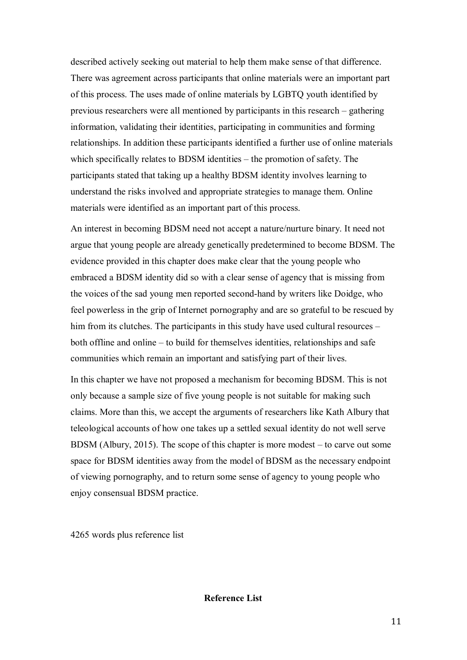described actively seeking out material to help them make sense of that difference. There was agreement across participants that online materials were an important part of this process. The uses made of online materials by LGBTQ youth identified by previous researchers were all mentioned by participants in this research – gathering information, validating their identities, participating in communities and forming relationships. In addition these participants identified a further use of online materials which specifically relates to BDSM identities – the promotion of safety. The participants stated that taking up a healthy BDSM identity involves learning to understand the risks involved and appropriate strategies to manage them. Online materials were identified as an important part of this process.

An interest in becoming BDSM need not accept a nature/nurture binary. It need not argue that young people are already genetically predetermined to become BDSM. The evidence provided in this chapter does make clear that the young people who embraced a BDSM identity did so with a clear sense of agency that is missing from the voices of the sad young men reported second-hand by writers like Doidge, who feel powerless in the grip of Internet pornography and are so grateful to be rescued by him from its clutches. The participants in this study have used cultural resources – both offline and online – to build for themselves identities, relationships and safe communities which remain an important and satisfying part of their lives.

In this chapter we have not proposed a mechanism for becoming BDSM. This is not only because a sample size of five young people is not suitable for making such claims. More than this, we accept the arguments of researchers like Kath Albury that teleological accounts of how one takes up a settled sexual identity do not well serve BDSM [\(Albury, 2015\)](#page-11-7). The scope of this chapter is more modest – to carve out some space for BDSM identities away from the model of BDSM as the necessary endpoint of viewing pornography, and to return some sense of agency to young people who enjoy consensual BDSM practice.

4265 words plus reference list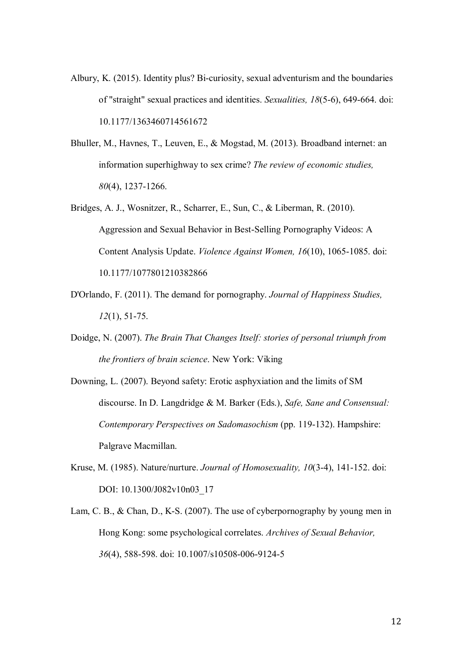- <span id="page-11-7"></span>Albury, K. (2015). Identity plus? Bi-curiosity, sexual adventurism and the boundaries of "straight" sexual practices and identities. *Sexualities, 18*(5-6), 649-664. doi: 10.1177/1363460714561672
- <span id="page-11-0"></span>Bhuller, M., Havnes, T., Leuven, E., & Mogstad, M. (2013). Broadband internet: an information superhighway to sex crime? *The review of economic studies, 80*(4), 1237-1266.
- <span id="page-11-2"></span>Bridges, A. J., Wosnitzer, R., Scharrer, E., Sun, C., & Liberman, R. (2010). Aggression and Sexual Behavior in Best-Selling Pornography Videos: A Content Analysis Update. *Violence Against Women, 16*(10), 1065-1085. doi: 10.1177/1077801210382866
- <span id="page-11-4"></span>D'Orlando, F. (2011). The demand for pornography. *Journal of Happiness Studies, 12*(1), 51-75.
- <span id="page-11-3"></span>Doidge, N. (2007). *The Brain That Changes Itself: stories of personal triumph from the frontiers of brain science*. New York: Viking
- <span id="page-11-6"></span>Downing, L. (2007). Beyond safety: Erotic asphyxiation and the limits of SM discourse. In D. Langdridge & M. Barker (Eds.), *Safe, Sane and Consensual: Contemporary Perspectives on Sadomasochism* (pp. 119-132). Hampshire: Palgrave Macmillan.
- <span id="page-11-5"></span>Kruse, M. (1985). Nature/nurture. *Journal of Homosexuality, 10*(3-4), 141-152. doi: DOI: 10.1300/J082v10n03\_17
- <span id="page-11-1"></span>Lam, C. B., & Chan, D., K-S. (2007). The use of cyberpornography by young men in Hong Kong: some psychological correlates. *Archives of Sexual Behavior, 36*(4), 588-598. doi: 10.1007/s10508-006-9124-5